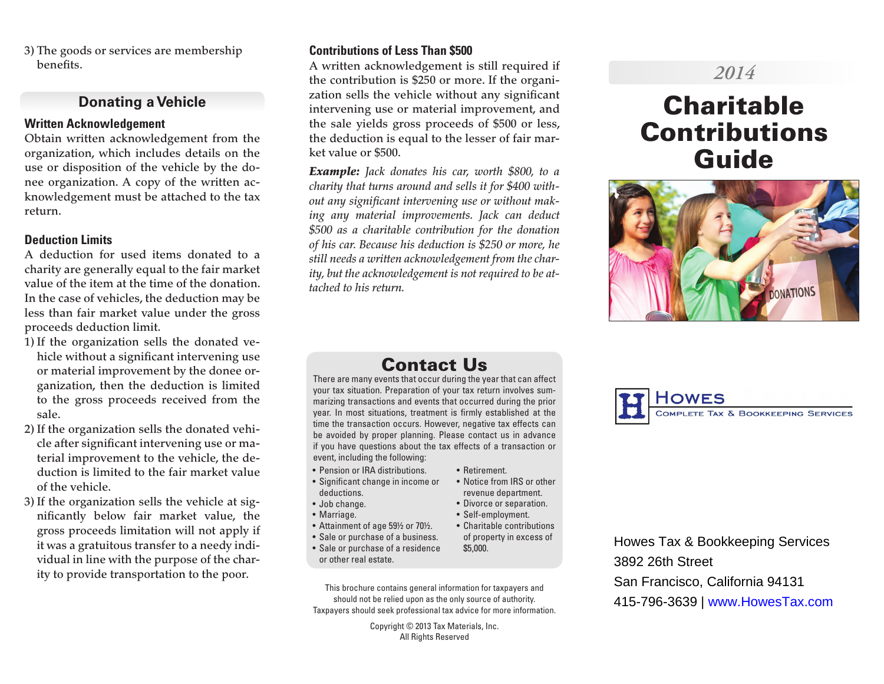3) The goods or services are membership benefits.

### **Donating a Vehicle**

#### **Written Acknowledgement**

Obtain written acknowledgement from the organization, which includes details on the use or disposition of the vehicle by the donee organization. A copy of the written acknowledgement must be attached to the tax return.

#### **Deduction Limits**

A deduction for used items donated to a charity are generally equal to the fair market value of the item at the time of the donation. In the case of vehicles, the deduction may be less than fair market value under the gross proceeds deduction limit.

- 1) If the organization sells the donated vehicle without a significant intervening use or material improvement by the donee organization, then the deduction is limited to the gross proceeds received from the sale.
- 2) If the organization sells the donated vehicle after significant intervening use or material improvement to the vehicle, the deduction is limited to the fair market value of the vehicle.
- 3) If the organization sells the vehicle at significantly below fair market value, the gross proceeds limitation will not apply if it was a gratuitous transfer to a needy individual in line with the purpose of the charity to provide transportation to the poor.

#### **Contributions of Less Than \$500**

A written acknowledgement is still required if the contribution is \$250 or more. If the organization sells the vehicle without any significant intervening use or material improvement, and the sale yields gross proceeds of \$500 or less, the deduction is equal to the lesser of fair market value or \$500.

*Example: Jack donates his car, worth \$800, to a charity that turns around and sells it for \$400 without any significant intervening use or without making any material improvements. Jack can deduct \$500 as a charitable contribution for the donation of his car. Because his deduction is \$250 or more, he still needs a written acknowledgement from the charity, but the acknowledgement is not required to be attached to his return.*

# *2014*

# **Charitable** Contributions Guide



# Contact Us

There are many events that occur during the year that can affect your tax situation. Preparation of your tax return involves summarizing transactions and events that occurred during the prior year. In most situations, treatment is firmly established at the time the transaction occurs. However, negative tax effects can be avoided by proper planning. Please contact us in advance if you have questions about the tax effects of a transaction or event, including the following:

• Retirement.

\$5,000.

• Notice from IRS or other revenue department. • Divorce or separation. • Self-employment.

- Pension or IRA distributions.
- Significant change in income or deductions.
- Job change.
- Marriage.
- Attainment of age 59½ or 70½. • Charitable contributions
- Sale or purchase of a business. of property in excess of
- Sale or purchase of a residence or other real estate.
- This brochure contains general information for taxpayers and should not be relied upon as the only source of authority. Taxpayers should seek professional tax advice for more information.

Copyright © 2013 Tax Materials, Inc. All Rights Reserved



Howes Tax & Bookkeeping Services 3892 26th Street San Francisco, California 94131 415-796-3639 | www.HowesTax.com